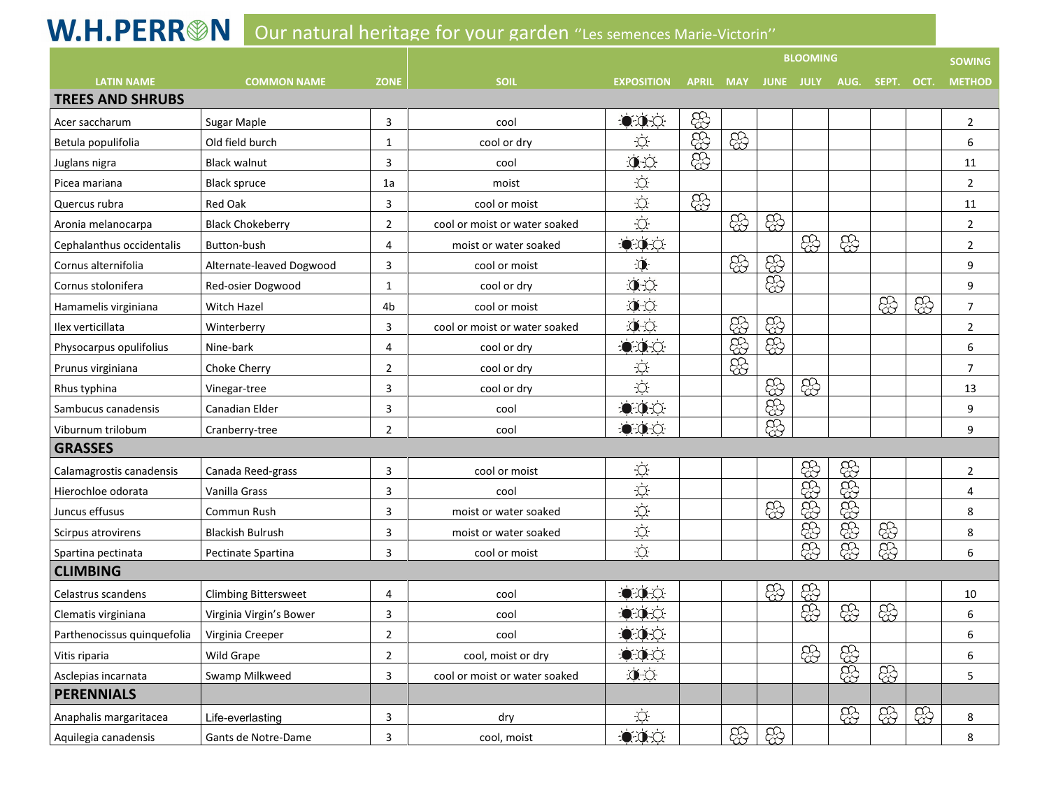## W.H.PERR<sup>®</sup>N Our natural heritage for vour garden "Les semences Marie-Victorin"

|                             |                             |                |                               |                      |                  | <b>BLOOMING</b> |                  |      |      |       |      | <b>SOWING</b>  |  |
|-----------------------------|-----------------------------|----------------|-------------------------------|----------------------|------------------|-----------------|------------------|------|------|-------|------|----------------|--|
| <b>LATIN NAME</b>           | <b>COMMON NAME</b>          | <b>ZONE</b>    | <b>SOIL</b>                   | <b>EXPOSITION</b>    | <b>APRIL MAY</b> |                 | <b>JUNE JULY</b> |      | AUG. | SEPT. | OCT. | <b>METHOD</b>  |  |
| <b>TREES AND SHRUBS</b>     |                             |                |                               |                      |                  |                 |                  |      |      |       |      |                |  |
| Acer saccharum              | Sugar Maple                 | 3              | cool                          | $-0.0$               | <u>සි</u>        |                 |                  |      |      |       |      | $\overline{2}$ |  |
| Betula populifolia          | Old field burch             | 1              | cool or dry                   | Ö.                   | සි               | සි              |                  |      |      |       |      | 6              |  |
| Juglans nigra               | <b>Black walnut</b>         | $\overline{3}$ | cool                          | $\bullet$            | සි               |                 |                  |      |      |       |      | 11             |  |
| Picea mariana               | <b>Black spruce</b>         | 1a             | moist                         | Ö.                   |                  |                 |                  |      |      |       |      | $\overline{2}$ |  |
| Quercus rubra               | <b>Red Oak</b>              | 3              | cool or moist                 | $\circlearrowleft$   | සි               |                 |                  |      |      |       |      | 11             |  |
| Aronia melanocarpa          | <b>Black Chokeberry</b>     | $\overline{2}$ | cool or moist or water soaked | $\dot{\mathrm{Q}}$   |                  | සි              | සි               |      |      |       |      | $\overline{2}$ |  |
| Cephalanthus occidentalis   | Button-bush                 | $\overline{4}$ | moist or water soaked         | $-0.0$               |                  |                 |                  | සි   | සි   |       |      | $\overline{2}$ |  |
| Cornus alternifolia         | Alternate-leaved Dogwood    | 3              | cool or moist                 | $\mathbf{0}$         |                  | සි              | සි               |      |      |       |      | 9              |  |
| Cornus stolonifera          | Red-osier Dogwood           | 1              | cool or dry                   | 0<                   |                  |                 | සි               |      |      |       |      | 9              |  |
| Hamamelis virginiana        | <b>Witch Hazel</b>          | 4 <sub>b</sub> | cool or moist                 | $\mathcal{D}$        |                  |                 |                  |      |      | සි    | සි   | $\overline{7}$ |  |
| Ilex verticillata           | Winterberry                 | 3              | cool or moist or water soaked | $\mathbf{0}$ $\circ$ |                  | <u>සි</u>       | සි               |      |      |       |      | $\overline{2}$ |  |
| Physocarpus opulifolius     | Nine-bark                   | $\overline{4}$ | cool or dry                   | $-0.0$               |                  | සිහි            | සි               |      |      |       |      | 6              |  |
| Prunus virginiana           | Choke Cherry                | $\overline{2}$ | cool or dry                   | Ċ.                   |                  |                 |                  |      |      |       |      | $\overline{7}$ |  |
| Rhus typhina                | Vinegar-tree                | 3              | cool or dry                   | $\dot{Q}$            |                  |                 | සි               | සි   |      |       |      | 13             |  |
| Sambucus canadensis         | Canadian Elder              | 3              | cool                          | 0.01                 |                  |                 | සි               |      |      |       |      | 9              |  |
| Viburnum trilobum           | Cranberry-tree              | $\overline{2}$ | cool                          | 0.01                 |                  |                 | සි               |      |      |       |      | 9              |  |
| <b>GRASSES</b>              |                             |                |                               |                      |                  |                 |                  |      |      |       |      |                |  |
| Calamagrostis canadensis    | Canada Reed-grass           | 3              | cool or moist                 | Ö.                   |                  |                 |                  | සි   | සි   |       |      | $\overline{2}$ |  |
| Hierochloe odorata          | Vanilla Grass               | 3              | cool                          | $\bigcirc$           |                  |                 |                  | සි   | සි   |       |      | 4              |  |
| Juncus effusus              | Commun Rush                 | 3              | moist or water soaked         | $\circlearrowleft$   |                  |                 | සි               |      |      |       |      | 8              |  |
| Scirpus atrovirens          | <b>Blackish Bulrush</b>     | 3              | moist or water soaked         | Ö.                   |                  |                 |                  | සිනි | සිනි | සි    |      | 8              |  |
| Spartina pectinata          | Pectinate Spartina          | 3              | cool or moist                 | $\dot{\bigcirc}$     |                  |                 |                  | ඝ    | සි   | සි    |      | 6              |  |
| <b>CLIMBING</b>             |                             |                |                               |                      |                  |                 |                  |      |      |       |      |                |  |
| Celastrus scandens          | <b>Climbing Bittersweet</b> | 4              | cool                          | 000                  |                  |                 | සි               | සි   |      |       |      | 10             |  |
| Clematis virginiana         | Virginia Virgin's Bower     | 3              | cool                          | 0.01                 |                  |                 |                  | සි   | සි   | සි    |      | 6              |  |
| Parthenocissus quinquefolia | Virginia Creeper            | $\overline{2}$ | cool                          | 0.01                 |                  |                 |                  |      |      |       |      | 6              |  |
| Vitis riparia               | Wild Grape                  | $\overline{2}$ | cool, moist or dry            | 0.0                  |                  |                 |                  | සි   | සි   |       |      | 6              |  |
| Asclepias incarnata         | Swamp Milkweed              | $\overline{3}$ | cool or moist or water soaked | 0<                   |                  |                 |                  |      | සි   | සි    |      | 5              |  |
| <b>PERENNIALS</b>           |                             |                |                               |                      |                  |                 |                  |      |      |       |      |                |  |
| Anaphalis margaritacea      | Life-everlasting            | 3              | dry                           | Ö.                   |                  |                 |                  |      | ඝි   | සි    | සි   | 8              |  |
| Aquilegia canadensis        | Gants de Notre-Dame         | 3              | cool, moist                   | 000                  |                  | සි              | සි               |      |      |       |      | 8              |  |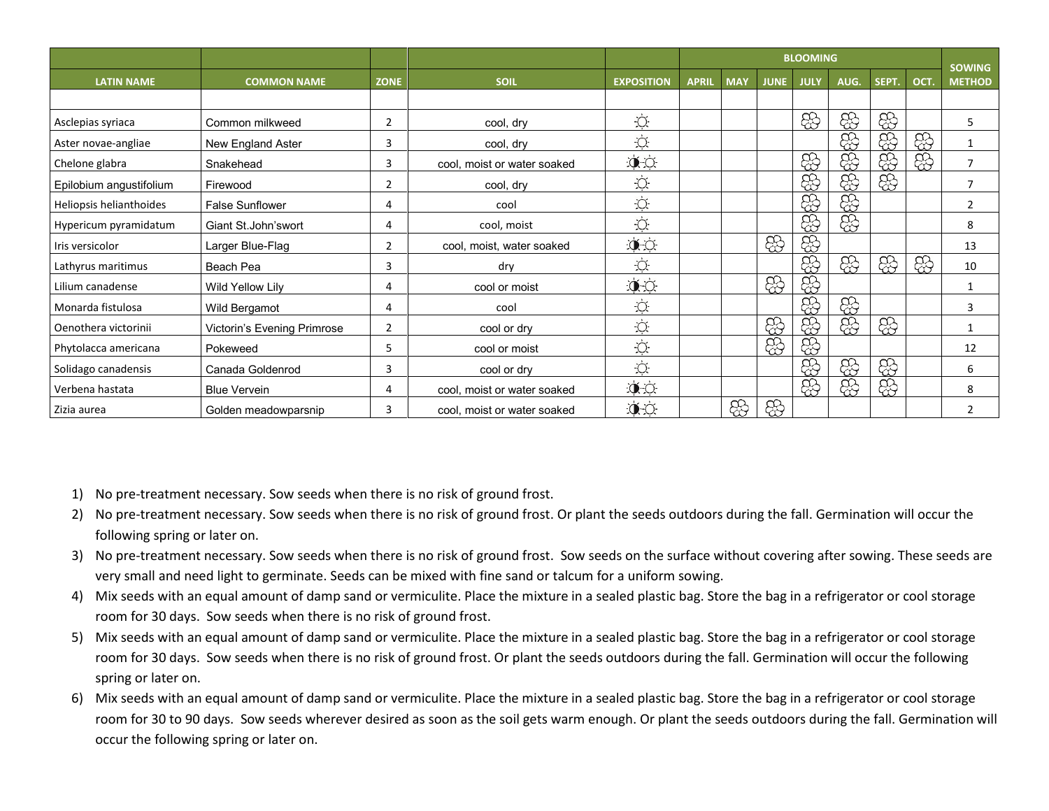|                         |                             |                |                             |                      | <b>BLOOMING</b> |            |             |             |      |       |      |                                |
|-------------------------|-----------------------------|----------------|-----------------------------|----------------------|-----------------|------------|-------------|-------------|------|-------|------|--------------------------------|
| <b>LATIN NAME</b>       | <b>COMMON NAME</b>          | <b>ZONE</b>    | <b>SOIL</b>                 | <b>EXPOSITION</b>    | <b>APRIL</b>    | <b>MAY</b> | <b>JUNE</b> | <b>JULY</b> | AUG. | SEPT. | OCT. | <b>SOWING</b><br><b>METHOD</b> |
|                         |                             |                |                             |                      |                 |            |             |             |      |       |      |                                |
| Asclepias syriaca       | Common milkweed             | $\overline{2}$ | cool, dry                   | $\bigcirc$           |                 |            |             | සි          | සි   | සි    |      | 5                              |
| Aster novae-angliae     | New England Aster           | 3              | cool, dry                   | $\bigcirc$           |                 |            |             |             | සි   | සි    | සි   | 1                              |
| Chelone glabra          | Snakehead                   | 3              | cool, moist or water soaked | $\bullet$            |                 |            |             | සි          | 8    | සි    | සි   | $\overline{7}$                 |
| Epilobium angustifolium | Firewood                    | $\overline{2}$ | cool, dry                   | Ċ.                   |                 |            |             | සි          | සි   | සි    |      | $\overline{7}$                 |
| Heliopsis helianthoides | <b>False Sunflower</b>      | 4              | cool                        | $\bigcirc$           |                 |            |             | සි          | සි   |       |      | $\overline{2}$                 |
| Hypericum pyramidatum   | Giant St. John'swort        | 4              | cool, moist                 | $\dot{Q}$            |                 |            |             | සි          | සි   |       |      | 8                              |
| Iris versicolor         | Larger Blue-Flag            | $\overline{2}$ | cool, moist, water soaked   | $\phi$               |                 |            | සි          | සි          |      |       |      | 13                             |
| Lathyrus maritimus      | Beach Pea                   | 3              | dry                         | Ö.                   |                 |            |             | ඝි          | සි   | සි    | ඝි   | 10                             |
| Lilium canadense        | Wild Yellow Lily            | 4              | cool or moist               | $\bullet$            |                 |            | සි          | \$          |      |       |      | $\mathbf{1}$                   |
| Monarda fistulosa       | Wild Bergamot               | 4              | cool                        | $\bigcirc$           |                 |            |             | සි          | සි   |       |      | 3                              |
| Oenothera victorinii    | Victorin's Evening Primrose | $\overline{2}$ | cool or dry                 | $\circlearrowleft$   |                 |            | සි          | ඝි          | ඝි   | සි    |      | 1                              |
| Phytolacca americana    | Pokeweed                    | 5              | cool or moist               | $\bigcirc$           |                 |            | සි          | සි          |      |       |      | 12                             |
| Solidago canadensis     | Canada Goldenrod            | 3              | cool or dry                 | $\circlearrowleft$   |                 |            |             | සි          | සි   | ඝි    |      | 6                              |
| Verbena hastata         | <b>Blue Vervein</b>         | 4              | cool, moist or water soaked | $\mathcal{L}$        |                 |            |             | සි          | සි   | සි    |      | 8                              |
| Zizia aurea             | Golden meadowparsnip        | 3              | cool, moist or water soaked | $\mathbf{0}$ $\circ$ |                 | සි         | සි          |             |      |       |      | 2                              |

1) No pre-treatment necessary. Sow seeds when there is no risk of ground frost.

- 2) No pre-treatment necessary. Sow seeds when there is no risk of ground frost. Or plant the seeds outdoors during the fall. Germination will occur the following spring or later on.
- 3) No pre-treatment necessary. Sow seeds when there is no risk of ground frost. Sow seeds on the surface without covering after sowing. These seeds are very small and need light to germinate. Seeds can be mixed with fine sand or talcum for a uniform sowing.
- 4) Mix seeds with an equal amount of damp sand or vermiculite. Place the mixture in a sealed plastic bag. Store the bag in a refrigerator or cool storage room for 30 days. Sow seeds when there is no risk of ground frost.
- 5) Mix seeds with an equal amount of damp sand or vermiculite. Place the mixture in a sealed plastic bag. Store the bag in a refrigerator or cool storage room for 30 days. Sow seeds when there is no risk of ground frost. Or plant the seeds outdoors during the fall. Germination will occur the following spring or later on.
- 6) Mix seeds with an equal amount of damp sand or vermiculite. Place the mixture in a sealed plastic bag. Store the bag in a refrigerator or cool storage room for 30 to 90 days. Sow seeds wherever desired as soon as the soil gets warm enough. Or plant the seeds outdoors during the fall. Germination will occur the following spring or later on.